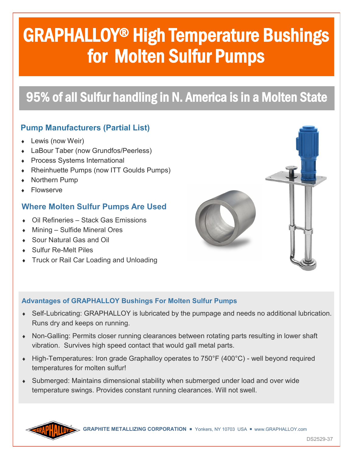# .<br>E GRAPHALLOY® High Temperature Bushings for Molten Sulfur Pumps

# 95% of all Sulfur handling in N. America is in a Molten State

### **Pump Manufacturers (Partial List)**

- Lewis (now Weir)
- LaBour Taber (now Grundfos/Peerless)
- **+** Process Systems International
- Rheinhuette Pumps (now ITT Goulds Pumps)
- Northern Pump
- Flowserve

### **Where Molten Sulfur Pumps Are Used**

- Oil Refineries Stack Gas Emissions
- Mining Sulfide Mineral Ores
- Sour Natural Gas and Oil
- Sulfur Re-Melt Piles
- Truck or Rail Car Loading and Unloading



#### **Advantages of GRAPHALLOY Bushings For Molten Sulfur Pumps**

- Self-Lubricating: GRAPHALLOY is lubricated by the pumpage and needs no additional lubrication. Runs dry and keeps on running.
- Non-Galling: Permits closer running clearances between rotating parts resulting in lower shaft vibration. Survives high speed contact that would gall metal parts.
- ◆ High-Temperatures: Iron grade Graphalloy operates to 750°F (400°C) well beyond required temperatures for molten sulfur!
- Submerged: Maintains dimensional stability when submerged under load and over wide temperature swings. Provides constant running clearances. Will not swell.